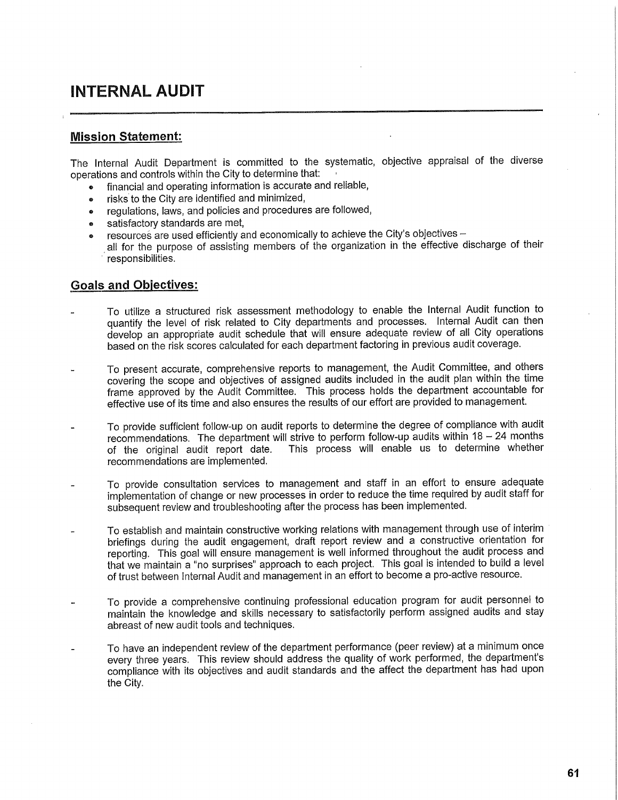## **INTERNAL AUDIT**

## **Mission Statement:**

The Internal Audit Department is committed to the systematic, objective appraisal of the diverse operations and controls within the City to determine that:

- financial and operating information is accurate and reliable,
- risks to the City are identified and minimized,
- regulations, laws, and policies and procedures are followed,
- satisfactory standards are met,
- resources are used efficiently and economically to achieve the City's objectives  $-$
- all for the purpose of assisting members of the organization in the effective discharge of their responsibilities.

## **Goals and Objectives:**

- To utilize a structured risk assessment methodology to enable the Internal Audit function to quantify the level of risk related to City departments and processes. Internal Audit can then develop an appropriate audit schedule that will ensure adequate review of all City operations based on the risk scores calculated for each department factoring in previous audit coverage.
- To present accurate, comprehensive reports to management, the Audit Committee, and others covering the scope and objectives of assigned audits included in the audit plan within the time frame approved by the Audit Committee. This process holds the department accountable for effective use of its time and also ensures the results of our effort are provided to management.
- To provide sufficient follow-up on audit reports to determine the degree of compliance with audit recommendations. The department will strive to perform follow-up audits within 18 - 24 months of the original audit report date. This process will enable us to determine whether recommendations are implemented.
- To provide consultation services to management and staff in an effort to ensure adequate implementation of change or new processes in order to reduce the time required by audit staff for subsequent review and troubleshooting after the process has been implemented.
- To establish and maintain constructive working relations with management through use of interim briefings during the audit engagement, draft report review and a constructive orientation for reporting. This goal will ensure management is well informed throughout the audit process and that we maintain a "no surprises" approach to each project. This goal is intended to build a level of trust between Internal Audit and management in an effort to become a pro-active resource.
- To provide a comprehensive continuing professional education program for audit personnel to maintain the knowledge and skills necessary to satisfactorily perform assigned audits and stay abreast of new audit tools and techniques.
- To have an independent review of the department performance (peer review) at a minimum once every three years. This review should address the quality of work performed, the department's compliance with its objectives and audit standards and the affect the department has had upon the City.